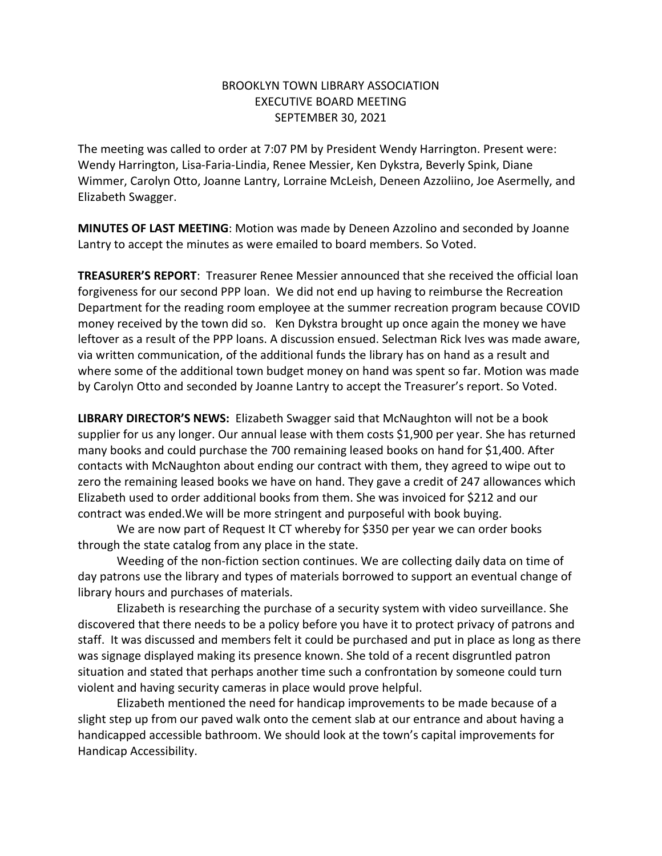## BROOKLYN TOWN LIBRARY ASSOCIATION EXECUTIVE BOARD MEETING SEPTEMBER 30, 2021

The meeting was called to order at 7:07 PM by President Wendy Harrington. Present were: Wendy Harrington, Lisa-Faria-Lindia, Renee Messier, Ken Dykstra, Beverly Spink, Diane Wimmer, Carolyn Otto, Joanne Lantry, Lorraine McLeish, Deneen Azzoliino, Joe Asermelly, and Elizabeth Swagger.

**MINUTES OF LAST MEETING**: Motion was made by Deneen Azzolino and seconded by Joanne Lantry to accept the minutes as were emailed to board members. So Voted.

**TREASURER'S REPORT**: Treasurer Renee Messier announced that she received the official loan forgiveness for our second PPP loan. We did not end up having to reimburse the Recreation Department for the reading room employee at the summer recreation program because COVID money received by the town did so. Ken Dykstra brought up once again the money we have leftover as a result of the PPP loans. A discussion ensued. Selectman Rick Ives was made aware, via written communication, of the additional funds the library has on hand as a result and where some of the additional town budget money on hand was spent so far. Motion was made by Carolyn Otto and seconded by Joanne Lantry to accept the Treasurer's report. So Voted.

**LIBRARY DIRECTOR'S NEWS:** Elizabeth Swagger said that McNaughton will not be a book supplier for us any longer. Our annual lease with them costs \$1,900 per year. She has returned many books and could purchase the 700 remaining leased books on hand for \$1,400. After contacts with McNaughton about ending our contract with them, they agreed to wipe out to zero the remaining leased books we have on hand. They gave a credit of 247 allowances which Elizabeth used to order additional books from them. She was invoiced for \$212 and our contract was ended.We will be more stringent and purposeful with book buying.

We are now part of Request It CT whereby for \$350 per year we can order books through the state catalog from any place in the state.

Weeding of the non-fiction section continues. We are collecting daily data on time of day patrons use the library and types of materials borrowed to support an eventual change of library hours and purchases of materials.

Elizabeth is researching the purchase of a security system with video surveillance. She discovered that there needs to be a policy before you have it to protect privacy of patrons and staff. It was discussed and members felt it could be purchased and put in place as long as there was signage displayed making its presence known. She told of a recent disgruntled patron situation and stated that perhaps another time such a confrontation by someone could turn violent and having security cameras in place would prove helpful.

Elizabeth mentioned the need for handicap improvements to be made because of a slight step up from our paved walk onto the cement slab at our entrance and about having a handicapped accessible bathroom. We should look at the town's capital improvements for Handicap Accessibility.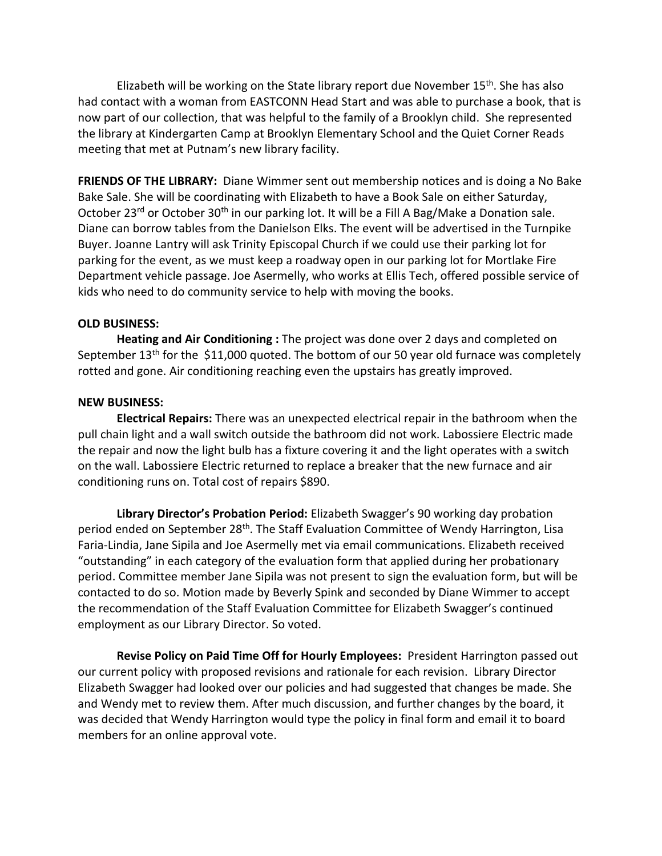Elizabeth will be working on the State library report due November 15<sup>th</sup>. She has also had contact with a woman from EASTCONN Head Start and was able to purchase a book, that is now part of our collection, that was helpful to the family of a Brooklyn child. She represented the library at Kindergarten Camp at Brooklyn Elementary School and the Quiet Corner Reads meeting that met at Putnam's new library facility.

**FRIENDS OF THE LIBRARY:** Diane Wimmer sent out membership notices and is doing a No Bake Bake Sale. She will be coordinating with Elizabeth to have a Book Sale on either Saturday, October 23<sup>rd</sup> or October 30<sup>th</sup> in our parking lot. It will be a Fill A Bag/Make a Donation sale. Diane can borrow tables from the Danielson Elks. The event will be advertised in the Turnpike Buyer. Joanne Lantry will ask Trinity Episcopal Church if we could use their parking lot for parking for the event, as we must keep a roadway open in our parking lot for Mortlake Fire Department vehicle passage. Joe Asermelly, who works at Ellis Tech, offered possible service of kids who need to do community service to help with moving the books.

## **OLD BUSINESS:**

**Heating and Air Conditioning :** The project was done over 2 days and completed on September 13th for the \$11,000 quoted. The bottom of our 50 year old furnace was completely rotted and gone. Air conditioning reaching even the upstairs has greatly improved.

## **NEW BUSINESS:**

**Electrical Repairs:** There was an unexpected electrical repair in the bathroom when the pull chain light and a wall switch outside the bathroom did not work. Labossiere Electric made the repair and now the light bulb has a fixture covering it and the light operates with a switch on the wall. Labossiere Electric returned to replace a breaker that the new furnace and air conditioning runs on. Total cost of repairs \$890.

**Library Director's Probation Period:** Elizabeth Swagger's 90 working day probation period ended on September 28<sup>th</sup>. The Staff Evaluation Committee of Wendy Harrington, Lisa Faria-Lindia, Jane Sipila and Joe Asermelly met via email communications. Elizabeth received "outstanding" in each category of the evaluation form that applied during her probationary period. Committee member Jane Sipila was not present to sign the evaluation form, but will be contacted to do so. Motion made by Beverly Spink and seconded by Diane Wimmer to accept the recommendation of the Staff Evaluation Committee for Elizabeth Swagger's continued employment as our Library Director. So voted.

**Revise Policy on Paid Time Off for Hourly Employees:** President Harrington passed out our current policy with proposed revisions and rationale for each revision. Library Director Elizabeth Swagger had looked over our policies and had suggested that changes be made. She and Wendy met to review them. After much discussion, and further changes by the board, it was decided that Wendy Harrington would type the policy in final form and email it to board members for an online approval vote.